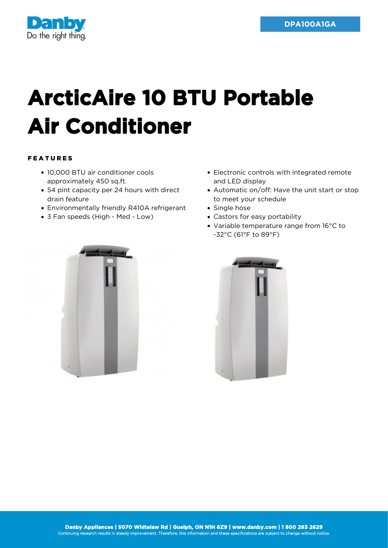

## **ArcticAire 10 BTU Portable Air Conditioner**

## FEATURES

- 10,000 BTU air conditioner cools approximately 450 sq.ft.
- 54 pint capacity per 24 hours with direct drain feature
- Environmentally friendly R410A refrigerant
- 3 Fan speeds (High Med Low)



- Automatic on/off: Have the unit start or stop to meet your schedule
- Single hose
- Castors for easy portability
- Variable temperature range from 16°C to -32°C (61°F to 89°F)